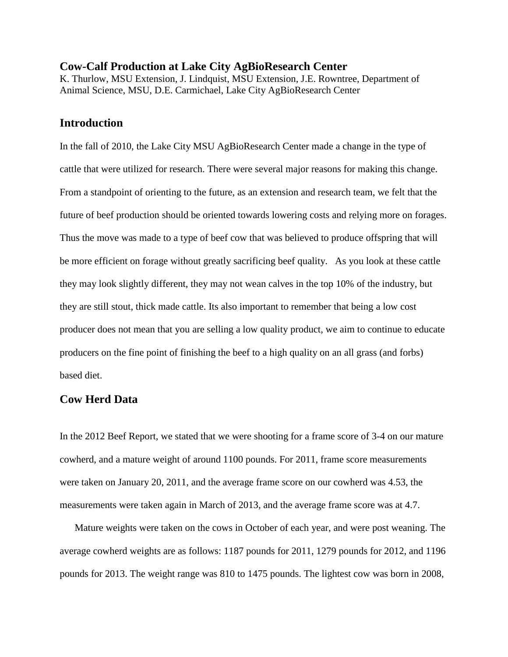#### **Cow-Calf Production at Lake City AgBioResearch Center**

K. Thurlow, MSU Extension, J. Lindquist, MSU Extension, J.E. Rowntree, Department of Animal Science, MSU, D.E. Carmichael, Lake City AgBioResearch Center

# **Introduction**

In the fall of 2010, the Lake City MSU AgBioResearch Center made a change in the type of cattle that were utilized for research. There were several major reasons for making this change. From a standpoint of orienting to the future, as an extension and research team, we felt that the future of beef production should be oriented towards lowering costs and relying more on forages. Thus the move was made to a type of beef cow that was believed to produce offspring that will be more efficient on forage without greatly sacrificing beef quality. As you look at these cattle they may look slightly different, they may not wean calves in the top 10% of the industry, but they are still stout, thick made cattle. Its also important to remember that being a low cost producer does not mean that you are selling a low quality product, we aim to continue to educate producers on the fine point of finishing the beef to a high quality on an all grass (and forbs) based diet.

### **Cow Herd Data**

In the 2012 Beef Report, we stated that we were shooting for a frame score of 3-4 on our mature cowherd, and a mature weight of around 1100 pounds. For 2011, frame score measurements were taken on January 20, 2011, and the average frame score on our cowherd was 4.53, the measurements were taken again in March of 2013, and the average frame score was at 4.7.

Mature weights were taken on the cows in October of each year, and were post weaning. The average cowherd weights are as follows: 1187 pounds for 2011, 1279 pounds for 2012, and 1196 pounds for 2013. The weight range was 810 to 1475 pounds. The lightest cow was born in 2008,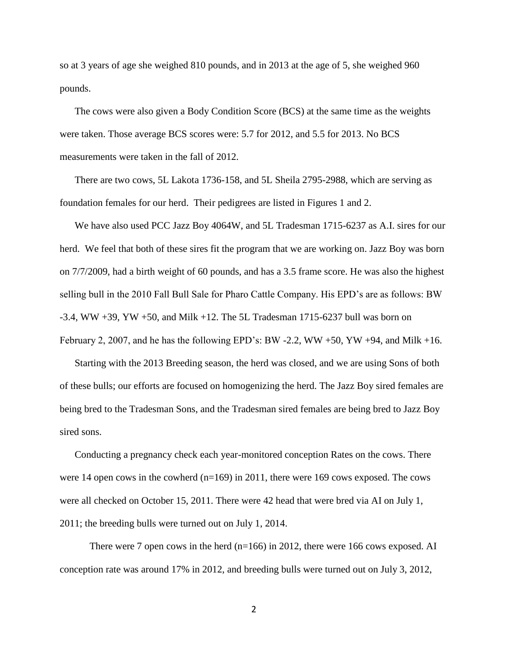so at 3 years of age she weighed 810 pounds, and in 2013 at the age of 5, she weighed 960 pounds.

The cows were also given a Body Condition Score (BCS) at the same time as the weights were taken. Those average BCS scores were: 5.7 for 2012, and 5.5 for 2013. No BCS measurements were taken in the fall of 2012.

There are two cows, 5L Lakota 1736-158, and 5L Sheila 2795-2988, which are serving as foundation females for our herd. Their pedigrees are listed in Figures 1 and 2.

We have also used PCC Jazz Boy 4064W, and 5L Tradesman 1715-6237 as A.I. sires for our herd. We feel that both of these sires fit the program that we are working on. Jazz Boy was born on 7/7/2009, had a birth weight of 60 pounds, and has a 3.5 frame score. He was also the highest selling bull in the 2010 Fall Bull Sale for Pharo Cattle Company. His EPD's are as follows: BW  $-3.4$ , WW  $+39$ , YW  $+50$ , and Milk  $+12$ . The 5L Tradesman 1715-6237 bull was born on February 2, 2007, and he has the following EPD's: BW -2.2, WW +50, YW +94, and Milk +16.

Starting with the 2013 Breeding season, the herd was closed, and we are using Sons of both of these bulls; our efforts are focused on homogenizing the herd. The Jazz Boy sired females are being bred to the Tradesman Sons, and the Tradesman sired females are being bred to Jazz Boy sired sons.

Conducting a pregnancy check each year-monitored conception Rates on the cows. There were 14 open cows in the cowherd  $(n=169)$  in 2011, there were 169 cows exposed. The cows were all checked on October 15, 2011. There were 42 head that were bred via AI on July 1, 2011; the breeding bulls were turned out on July 1, 2014.

There were 7 open cows in the herd  $(n=166)$  in 2012, there were 166 cows exposed. AI conception rate was around 17% in 2012, and breeding bulls were turned out on July 3, 2012,

2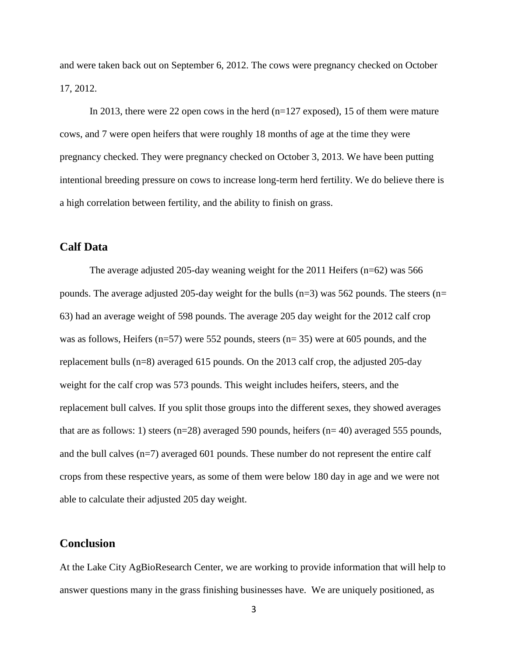and were taken back out on September 6, 2012. The cows were pregnancy checked on October 17, 2012.

In 2013, there were 22 open cows in the herd  $(n=127$  exposed), 15 of them were mature cows, and 7 were open heifers that were roughly 18 months of age at the time they were pregnancy checked. They were pregnancy checked on October 3, 2013. We have been putting intentional breeding pressure on cows to increase long-term herd fertility. We do believe there is a high correlation between fertility, and the ability to finish on grass.

# **Calf Data**

The average adjusted 205-day weaning weight for the 2011 Heifers (n=62) was 566 pounds. The average adjusted 205-day weight for the bulls  $(n=3)$  was 562 pounds. The steers  $(n=$ 63) had an average weight of 598 pounds. The average 205 day weight for the 2012 calf crop was as follows, Heifers (n=57) were 552 pounds, steers (n= 35) were at 605 pounds, and the replacement bulls (n=8) averaged 615 pounds. On the 2013 calf crop, the adjusted 205-day weight for the calf crop was 573 pounds. This weight includes heifers, steers, and the replacement bull calves. If you split those groups into the different sexes, they showed averages that are as follows: 1) steers ( $n=28$ ) averaged 590 pounds, heifers ( $n=40$ ) averaged 555 pounds, and the bull calves (n=7) averaged 601 pounds. These number do not represent the entire calf crops from these respective years, as some of them were below 180 day in age and we were not able to calculate their adjusted 205 day weight.

# **Conclusion**

At the Lake City AgBioResearch Center, we are working to provide information that will help to answer questions many in the grass finishing businesses have. We are uniquely positioned, as

3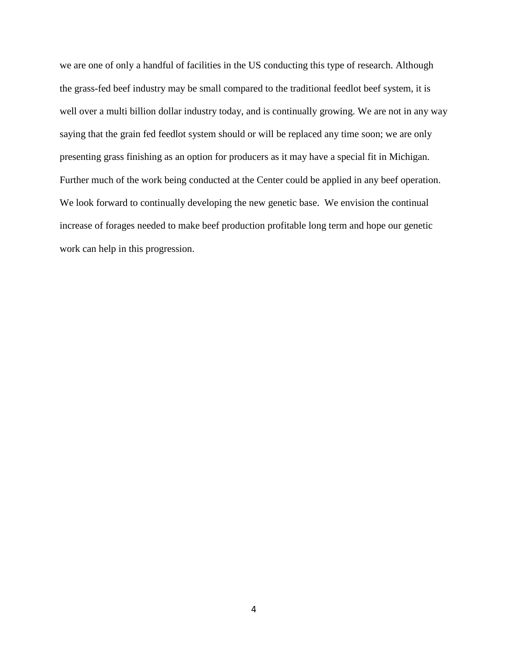we are one of only a handful of facilities in the US conducting this type of research. Although the grass-fed beef industry may be small compared to the traditional feedlot beef system, it is well over a multi billion dollar industry today, and is continually growing. We are not in any way saying that the grain fed feedlot system should or will be replaced any time soon; we are only presenting grass finishing as an option for producers as it may have a special fit in Michigan. Further much of the work being conducted at the Center could be applied in any beef operation. We look forward to continually developing the new genetic base. We envision the continual increase of forages needed to make beef production profitable long term and hope our genetic work can help in this progression.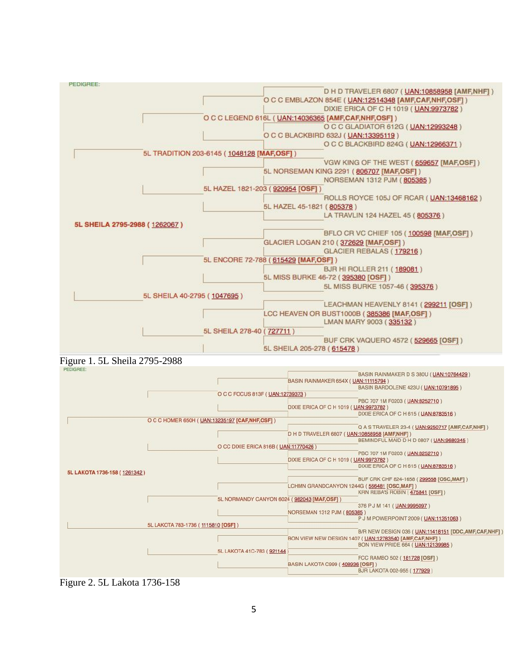

Figure 2. 5L Lakota 1736-158